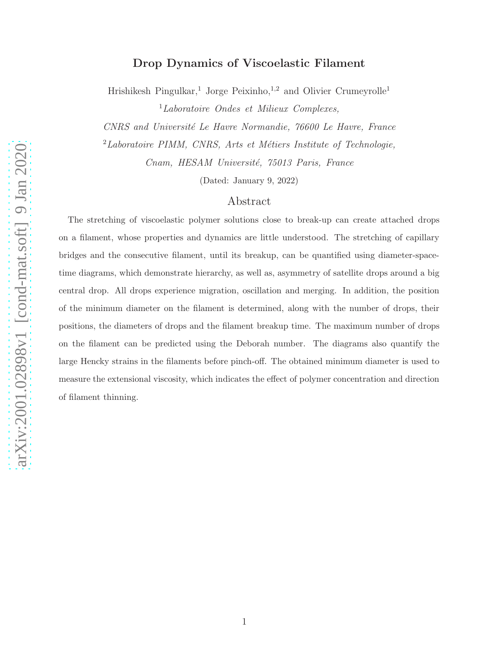# arXiv:2001.02898v1 [cond-mat.soft] 9 Jan 2020 [arXiv:2001.02898v1 \[cond-mat.soft\] 9 Jan 2020](http://arxiv.org/abs/2001.02898v1)

# Drop Dynamics of Viscoelastic Filament

Hrishikesh Pingulkar,<sup>1</sup> Jorge Peixinho,<sup>1,2</sup> and Olivier Crumeyrolle<sup>1</sup>

<sup>1</sup>Laboratoire Ondes et Milieux Complexes,

CNRS and Université Le Havre Normandie, 76600 Le Havre, France

 $2$ Laboratoire PIMM, CNRS, Arts et Métiers Institute of Technologie,

Cnam, HESAM Université, 75013 Paris, France

(Dated: January 9, 2022)

# Abstract

The stretching of viscoelastic polymer solutions close to break-up can create attached drops on a filament, whose properties and dynamics are little understood. The stretching of capillary bridges and the consecutive filament, until its breakup, can be quantified using diameter-spacetime diagrams, which demonstrate hierarchy, as well as, asymmetry of satellite drops around a big central drop. All drops experience migration, oscillation and merging. In addition, the position of the minimum diameter on the filament is determined, along with the number of drops, their positions, the diameters of drops and the filament breakup time. The maximum number of drops on the filament can be predicted using the Deborah number. The diagrams also quantify the large Hencky strains in the filaments before pinch-off. The obtained minimum diameter is used to measure the extensional viscosity, which indicates the effect of polymer concentration and direction of filament thinning.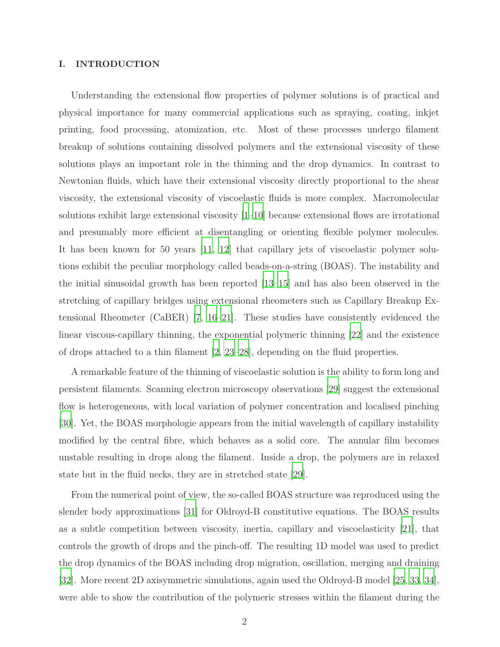# I. INTRODUCTION

Understanding the extensional flow properties of polymer solutions is of practical and physical importance for many commercial applications such as spraying, coating, inkjet printing, food processing, atomization, etc. Most of these processes undergo filament breakup of solutions containing dissolved polymers and the extensional viscosity of these solutions plays an important role in the thinning and the drop dynamics. In contrast to Newtonian fluids, which have their extensional viscosity directly proportional to the shear viscosity, the extensional viscosity of viscoelastic fluids is more complex. Macromolecular solutions exhibit large extensional viscosity [\[1](#page-10-0)[–10](#page-10-1)] because extensional flows are irrotational and presumably more efficient at disentangling or orienting flexible polymer molecules. It has been known for 50 years [\[11](#page-11-0), [12\]](#page-11-1) that capillary jets of viscoelastic polymer solutions exhibit the peculiar morphology called beads-on-a-string (BOAS). The instability and the initial sinusoidal growth has been reported [\[13](#page-11-2)[–15\]](#page-11-3) and has also been observed in the stretching of capillary bridges using extensional rheometers such as Capillary Breakup Extensional Rheometer (CaBER) [\[7,](#page-10-2) [16](#page-11-4)[–21](#page-11-5)]. These studies have consistently evidenced the linear viscous-capillary thinning, the exponential polymeric thinning [\[22\]](#page-11-6) and the existence of drops attached to a thin filament [\[2](#page-10-3), [23](#page-11-7)[–28\]](#page-12-0), depending on the fluid properties.

A remarkable feature of the thinning of viscoelastic solution is the ability to form long and persistent filaments. Scanning electron microscopy observations [\[29](#page-12-1)] suggest the extensional flow is heterogeneous, with local variation of polymer concentration and localised pinching [\[30\]](#page-12-2). Yet, the BOAS morphologie appears from the initial wavelength of capillary instability modified by the central fibre, which behaves as a solid core. The annular film becomes unstable resulting in drops along the filament. Inside a drop, the polymers are in relaxed state but in the fluid necks, they are in stretched state [\[29\]](#page-12-1).

From the numerical point of view, the so-called BOAS structure was reproduced using the slender body approximations [\[31\]](#page-12-3) for Oldroyd-B constitutive equations. The BOAS results as a subtle competition between viscosity, inertia, capillary and viscoelasticity [\[21\]](#page-11-5), that controls the growth of drops and the pinch-off. The resulting 1D model was used to predict the drop dynamics of the BOAS including drop migration, oscillation, merging and draining [\[32\]](#page-12-4). More recent 2D axisymmetric simulations, again used the Oldroyd-B model [\[25,](#page-12-5) [33,](#page-12-6) [34\]](#page-12-7), were able to show the contribution of the polymeric stresses within the filament during the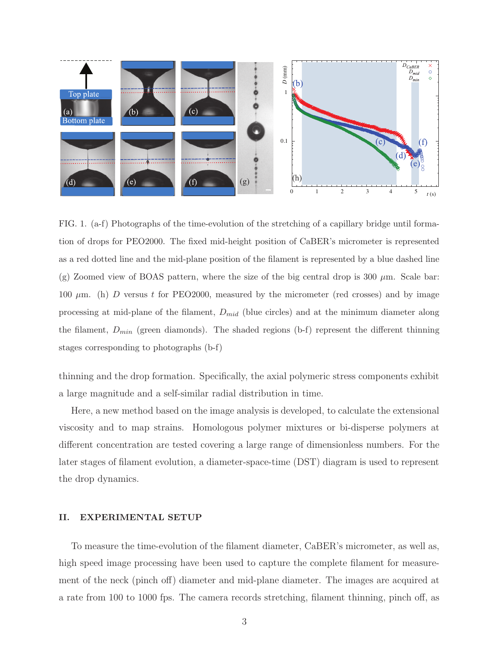

<span id="page-2-0"></span>FIG. 1. (a-f) Photographs of the time-evolution of the stretching of a capillary bridge until formation of drops for PEO2000. The fixed mid-height position of CaBER's micrometer is represented as a red dotted line and the mid-plane position of the filament is represented by a blue dashed line (g) Zoomed view of BOAS pattern, where the size of the big central drop is 300  $\mu$ m. Scale bar: 100  $\mu$ m. (h) D versus t for PEO2000, measured by the micrometer (red crosses) and by image processing at mid-plane of the filament,  $D_{mid}$  (blue circles) and at the minimum diameter along the filament,  $D_{min}$  (green diamonds). The shaded regions (b-f) represent the different thinning stages corresponding to photographs (b-f)

thinning and the drop formation. Specifically, the axial polymeric stress components exhibit a large magnitude and a self-similar radial distribution in time.

Here, a new method based on the image analysis is developed, to calculate the extensional viscosity and to map strains. Homologous polymer mixtures or bi-disperse polymers at different concentration are tested covering a large range of dimensionless numbers. For the later stages of filament evolution, a diameter-space-time (DST) diagram is used to represent the drop dynamics.

### II. EXPERIMENTAL SETUP

To measure the time-evolution of the filament diameter, CaBER's micrometer, as well as, high speed image processing have been used to capture the complete filament for measurement of the neck (pinch off) diameter and mid-plane diameter. The images are acquired at a rate from 100 to 1000 fps. The camera records stretching, filament thinning, pinch off, as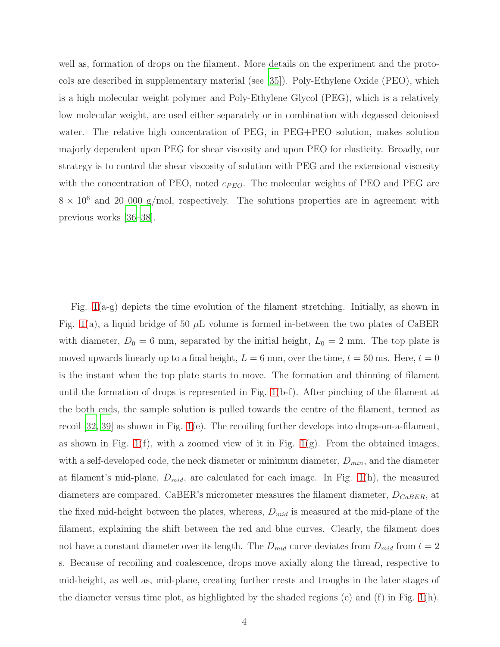well as, formation of drops on the filament. More details on the experiment and the protocols are described in supplementary material (see [\[35\]](#page-12-8)). Poly-Ethylene Oxide (PEO), which is a high molecular weight polymer and Poly-Ethylene Glycol (PEG), which is a relatively low molecular weight, are used either separately or in combination with degassed deionised water. The relative high concentration of PEG, in PEG+PEO solution, makes solution majorly dependent upon PEG for shear viscosity and upon PEO for elasticity. Broadly, our strategy is to control the shear viscosity of solution with PEG and the extensional viscosity with the concentration of PEO, noted  $c_{PEO}$ . The molecular weights of PEO and PEG are  $8 \times 10^6$  and 20 000 g/mol, respectively. The solutions properties are in agreement with previous works [\[36](#page-13-0)[–38](#page-13-1)].

Fig.  $1(a-g)$  depicts the time evolution of the filament stretching. Initially, as shown in Fig. [1\(](#page-2-0)a), a liquid bridge of 50  $\mu$ L volume is formed in-between the two plates of CaBER with diameter,  $D_0 = 6$  mm, separated by the initial height,  $L_0 = 2$  mm. The top plate is moved upwards linearly up to a final height,  $L = 6$  mm, over the time,  $t = 50$  ms. Here,  $t = 0$ is the instant when the top plate starts to move. The formation and thinning of filament until the formation of drops is represented in Fig. [1\(](#page-2-0)b-f). After pinching of the filament at the both ends, the sample solution is pulled towards the centre of the filament, termed as recoil [\[32,](#page-12-4) [39\]](#page-13-2) as shown in Fig. [1\(](#page-2-0)e). The recoiling further develops into drops-on-a-filament, as shown in Fig. [1\(](#page-2-0)f), with a zoomed view of it in Fig. 1(g). From the obtained images, with a self-developed code, the neck diameter or minimum diameter,  $D_{min}$ , and the diameter at filament's mid-plane,  $D_{mid}$ , are calculated for each image. In Fig. [1\(](#page-2-0)h), the measured diameters are compared. CaBER's micrometer measures the filament diameter,  $D_{CaBER}$ , at the fixed mid-height between the plates, whereas,  $D_{mid}$  is measured at the mid-plane of the filament, explaining the shift between the red and blue curves. Clearly, the filament does not have a constant diameter over its length. The  $D_{mid}$  curve deviates from  $D_{mid}$  from  $t = 2$ s. Because of recoiling and coalescence, drops move axially along the thread, respective to mid-height, as well as, mid-plane, creating further crests and troughs in the later stages of the diameter versus time plot, as highlighted by the shaded regions (e) and (f) in Fig.  $1(h)$ .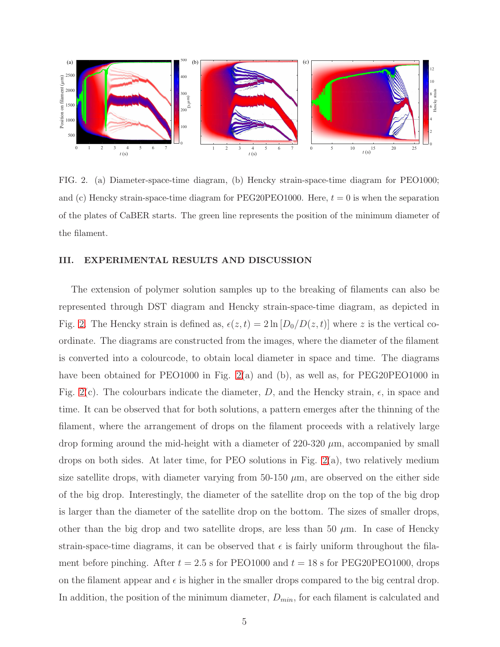

<span id="page-4-0"></span>FIG. 2. (a) Diameter-space-time diagram, (b) Hencky strain-space-time diagram for PEO1000; and (c) Hencky strain-space-time diagram for PEG20PEO1000. Here,  $t = 0$  is when the separation of the plates of CaBER starts. The green line represents the position of the minimum diameter of the filament.

# III. EXPERIMENTAL RESULTS AND DISCUSSION

The extension of polymer solution samples up to the breaking of filaments can also be represented through DST diagram and Hencky strain-space-time diagram, as depicted in Fig. [2.](#page-4-0) The Hencky strain is defined as,  $\epsilon(z, t) = 2 \ln [D_0/D(z, t)]$  where z is the vertical coordinate. The diagrams are constructed from the images, where the diameter of the filament is converted into a colourcode, to obtain local diameter in space and time. The diagrams have been obtained for PEO1000 in Fig. [2\(](#page-4-0)a) and (b), as well as, for PEG20PEO1000 in Fig. [2\(](#page-4-0)c). The colourbars indicate the diameter, D, and the Hencky strain,  $\epsilon$ , in space and time. It can be observed that for both solutions, a pattern emerges after the thinning of the filament, where the arrangement of drops on the filament proceeds with a relatively large drop forming around the mid-height with a diameter of 220-320  $\mu$ m, accompanied by small drops on both sides. At later time, for PEO solutions in Fig. [2\(](#page-4-0)a), two relatively medium size satellite drops, with diameter varying from  $50-150 \mu m$ , are observed on the either side of the big drop. Interestingly, the diameter of the satellite drop on the top of the big drop is larger than the diameter of the satellite drop on the bottom. The sizes of smaller drops, other than the big drop and two satellite drops, are less than 50  $\mu$ m. In case of Hencky strain-space-time diagrams, it can be observed that  $\epsilon$  is fairly uniform throughout the filament before pinching. After  $t = 2.5$  s for PEO1000 and  $t = 18$  s for PEG20PEO1000, drops on the filament appear and  $\epsilon$  is higher in the smaller drops compared to the big central drop. In addition, the position of the minimum diameter,  $D_{min}$ , for each filament is calculated and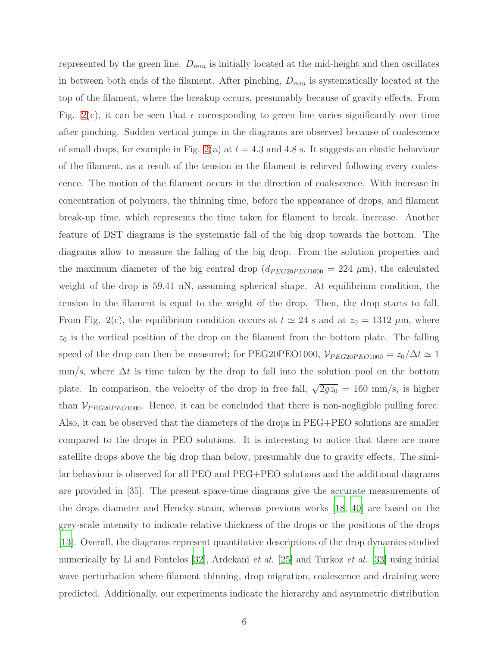represented by the green line.  $D_{min}$  is initially located at the mid-height and then oscillates in between both ends of the filament. After pinching,  $D_{min}$  is systematically located at the top of the filament, where the breakup occurs, presumably because of gravity effects. From Fig. [2\(](#page-4-0)c), it can be seen that  $\epsilon$  corresponding to green line varies significantly over time after pinching. Sudden vertical jumps in the diagrams are observed because of coalescence of small drops, for example in Fig. [2\(](#page-4-0)a) at  $t = 4.3$  and 4.8 s. It suggests an elastic behaviour of the filament, as a result of the tension in the filament is relieved following every coalescence. The motion of the filament occurs in the direction of coalescence. With increase in concentration of polymers, the thinning time, before the appearance of drops, and filament break-up time, which represents the time taken for filament to break, increase. Another feature of DST diagrams is the systematic fall of the big drop towards the bottom. The diagrams allow to measure the falling of the big drop. From the solution properties and the maximum diameter of the big central drop  $(d_{PEG20PEO1000} = 224 \mu m)$ , the calculated weight of the drop is 59.41 nN, assuming spherical shape. At equilibrium condition, the tension in the filament is equal to the weight of the drop. Then, the drop starts to fall. From Fig. 2(c), the equilibrium condition occurs at  $t \approx 24$  s and at  $z_0 = 1312 \mu m$ , where  $z_0$  is the vertical position of the drop on the filament from the bottom plate. The falling speed of the drop can then be measured; for PEG20PEO1000,  $V_{PEG20PEO1000} = z_0/\Delta t \simeq 1$  $\text{mm/s}$ , where  $\Delta t$  is time taken by the drop to fall into the solution pool on the bottom plate. In comparison, the velocity of the drop in free fall,  $\sqrt{2gz_0} = 160$  mm/s, is higher than  $V_{PEG20PEO1000}$ . Hence, it can be concluded that there is non-negligible pulling force. Also, it can be observed that the diameters of the drops in PEG+PEO solutions are smaller compared to the drops in PEO solutions. It is interesting to notice that there are more satellite drops above the big drop than below, presumably due to gravity effects. The similar behaviour is observed for all PEO and PEG+PEO solutions and the additional diagrams are provided in [35]. The present space-time diagrams give the accurate measurements of the drops diameter and Hencky strain, whereas previous works [\[18](#page-11-8), [40](#page-13-3)] are based on the grey-scale intensity to indicate relative thickness of the drops or the positions of the drops [\[13\]](#page-11-2). Overall, the diagrams represent quantitative descriptions of the drop dynamics studied numerically by Li and Fontelos [\[32](#page-12-4)], Ardekani *et al.* [\[25\]](#page-12-5) and Turkoz *et al.* [\[33\]](#page-12-6) using initial wave perturbation where filament thinning, drop migration, coalescence and draining were predicted. Additionally, our experiments indicate the hierarchy and asymmetric distribution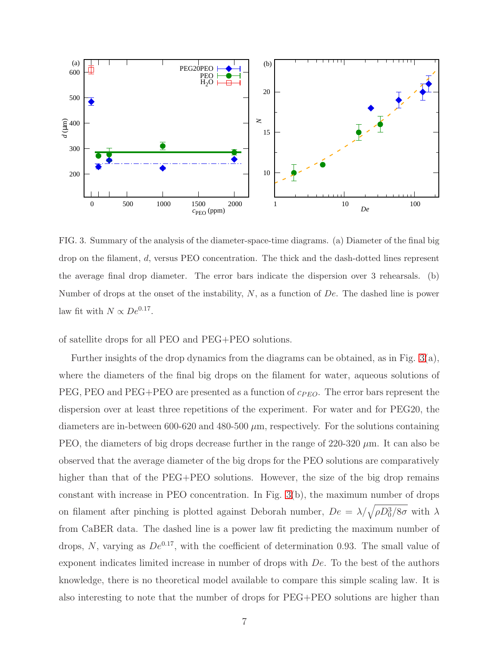

<span id="page-6-0"></span>FIG. 3. Summary of the analysis of the diameter-space-time diagrams. (a) Diameter of the final big drop on the filament, d, versus PEO concentration. The thick and the dash-dotted lines represent the average final drop diameter. The error bars indicate the dispersion over 3 rehearsals. (b) Number of drops at the onset of the instability, N, as a function of De. The dashed line is power law fit with  $N \propto De^{0.17}$ .

of satellite drops for all PEO and PEG+PEO solutions.

Further insights of the drop dynamics from the diagrams can be obtained, as in Fig. [3\(](#page-6-0)a), where the diameters of the final big drops on the filament for water, aqueous solutions of PEG, PEO and PEG+PEO are presented as a function of  $c_{PEO}$ . The error bars represent the dispersion over at least three repetitions of the experiment. For water and for PEG20, the diameters are in-between 600-620 and 480-500  $\mu$ m, respectively. For the solutions containing PEO, the diameters of big drops decrease further in the range of 220-320  $\mu$ m. It can also be observed that the average diameter of the big drops for the PEO solutions are comparatively higher than that of the PEG+PEO solutions. However, the size of the big drop remains constant with increase in PEO concentration. In Fig. [3\(](#page-6-0)b), the maximum number of drops on filament after pinching is plotted against Deborah number,  $De = \lambda / \sqrt{\rho D_0^3 / 8\sigma}$  with  $\lambda$ from CaBER data. The dashed line is a power law fit predicting the maximum number of drops, N, varying as  $De^{0.17}$ , with the coefficient of determination 0.93. The small value of exponent indicates limited increase in number of drops with De. To the best of the authors knowledge, there is no theoretical model available to compare this simple scaling law. It is also interesting to note that the number of drops for PEG+PEO solutions are higher than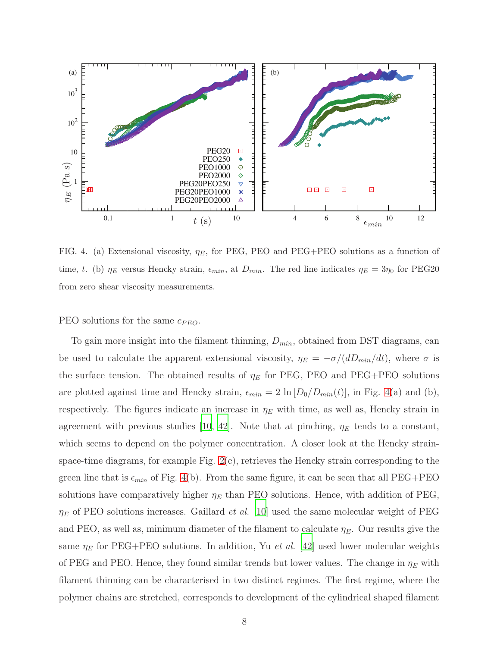

<span id="page-7-0"></span>FIG. 4. (a) Extensional viscosity,  $\eta_E$ , for PEG, PEO and PEG+PEO solutions as a function of time, t. (b)  $\eta_E$  versus Hencky strain,  $\epsilon_{min}$ , at  $D_{min}$ . The red line indicates  $\eta_E = 3\eta_0$  for PEG20 from zero shear viscosity measurements.

# PEO solutions for the same  $c_{PEO}$ .

To gain more insight into the filament thinning,  $D_{min}$ , obtained from DST diagrams, can be used to calculate the apparent extensional viscosity,  $\eta_E = -\sigma/(dD_{min}/dt)$ , where  $\sigma$  is the surface tension. The obtained results of  $\eta_E$  for PEG, PEO and PEG+PEO solutions are plotted against time and Hencky strain,  $\epsilon_{min} = 2 \ln [D_0/D_{min}(t)]$ , in Fig. [4\(](#page-7-0)a) and (b), respectively. The figures indicate an increase in  $\eta_E$  with time, as well as, Hencky strain in agreement with previous studies [\[10](#page-10-1), [42](#page-13-4)]. Note that at pinching,  $\eta_E$  tends to a constant, which seems to depend on the polymer concentration. A closer look at the Hencky strainspace-time diagrams, for example Fig. [2\(](#page-4-0)c), retrieves the Hencky strain corresponding to the green line that is  $\epsilon_{min}$  of Fig. [4\(](#page-7-0)b). From the same figure, it can be seen that all PEG+PEO solutions have comparatively higher  $\eta_E$  than PEO solutions. Hence, with addition of PEG,  $\eta_E$  of PEO solutions increases. Gaillard *et al.* [\[10\]](#page-10-1) used the same molecular weight of PEG and PEO, as well as, minimum diameter of the filament to calculate  $\eta_E$ . Our results give the same  $\eta_E$  for PEG+PEO solutions. In addition, Yu *et al.* [\[42](#page-13-4)] used lower molecular weights of PEG and PEO. Hence, they found similar trends but lower values. The change in  $\eta_E$  with filament thinning can be characterised in two distinct regimes. The first regime, where the polymer chains are stretched, corresponds to development of the cylindrical shaped filament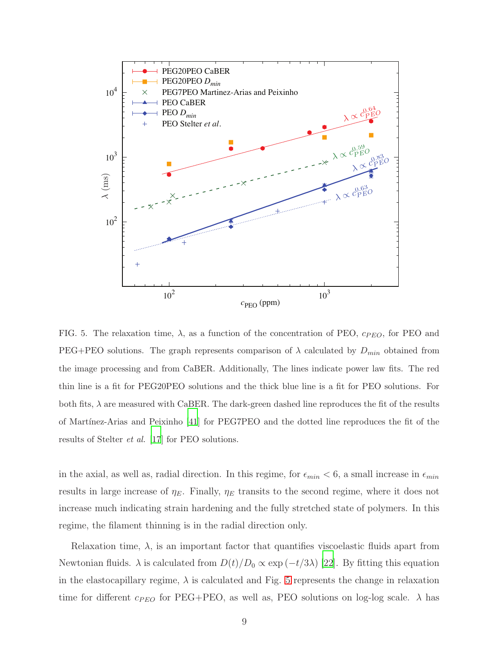

<span id="page-8-0"></span>FIG. 5. The relaxation time,  $\lambda$ , as a function of the concentration of PEO,  $c_{PEO}$ , for PEO and PEG+PEO solutions. The graph represents comparison of  $\lambda$  calculated by  $D_{min}$  obtained from the image processing and from CaBER. Additionally, The lines indicate power law fits. The red thin line is a fit for PEG20PEO solutions and the thick blue line is a fit for PEO solutions. For both fits,  $\lambda$  are measured with CaBER. The dark-green dashed line reproduces the fit of the results of Martínez-Arias and Peixinho [\[41](#page-13-5)] for PEG7PEO and the dotted line reproduces the fit of the results of Stelter et al. [\[17](#page-11-9)] for PEO solutions.

in the axial, as well as, radial direction. In this regime, for  $\epsilon_{min} < 6$ , a small increase in  $\epsilon_{min}$ results in large increase of  $\eta_E$ . Finally,  $\eta_E$  transits to the second regime, where it does not increase much indicating strain hardening and the fully stretched state of polymers. In this regime, the filament thinning is in the radial direction only.

Relaxation time,  $\lambda$ , is an important factor that quantifies viscoelastic fluids apart from Newtonian fluids.  $\lambda$  is calculated from  $D(t)/D_0 \propto \exp(-t/3\lambda)$  [\[22](#page-11-6)]. By fitting this equation in the elastocapillary regime,  $\lambda$  is calculated and Fig. [5](#page-8-0) represents the change in relaxation time for different  $c_{PEO}$  for PEG+PEO, as well as, PEO solutions on log-log scale.  $\lambda$  has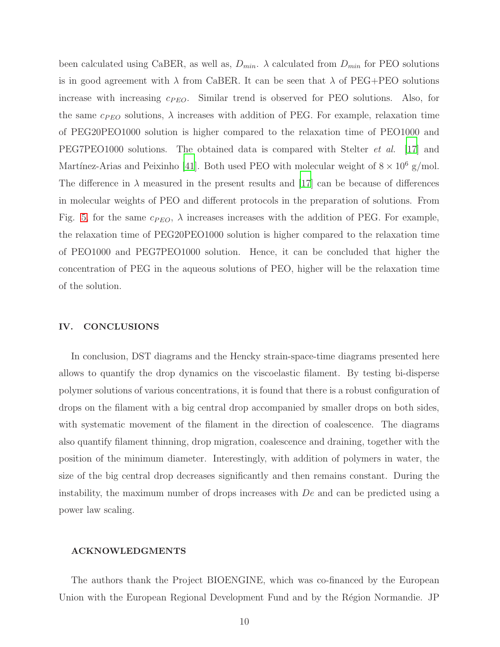been calculated using CaBER, as well as,  $D_{min}$ .  $\lambda$  calculated from  $D_{min}$  for PEO solutions is in good agreement with  $\lambda$  from CaBER. It can be seen that  $\lambda$  of PEG+PEO solutions increase with increasing  $c_{PEO}$ . Similar trend is observed for PEO solutions. Also, for the same  $c_{PEO}$  solutions,  $\lambda$  increases with addition of PEG. For example, relaxation time of PEG20PEO1000 solution is higher compared to the relaxation time of PEO1000 and PEG7PEO1000 solutions. The obtained data is compared with Stelter *et al.* [\[17](#page-11-9)] and Martínez-Arias and Peixinho [\[41](#page-13-5)]. Both used PEO with molecular weight of  $8 \times 10^6$  g/mol. The difference in  $\lambda$  measured in the present results and [\[17\]](#page-11-9) can be because of differences in molecular weights of PEO and different protocols in the preparation of solutions. From Fig. [5,](#page-8-0) for the same  $c_{PEO}$ ,  $\lambda$  increases increases with the addition of PEG. For example, the relaxation time of PEG20PEO1000 solution is higher compared to the relaxation time of PEO1000 and PEG7PEO1000 solution. Hence, it can be concluded that higher the concentration of PEG in the aqueous solutions of PEO, higher will be the relaxation time of the solution.

### IV. CONCLUSIONS

In conclusion, DST diagrams and the Hencky strain-space-time diagrams presented here allows to quantify the drop dynamics on the viscoelastic filament. By testing bi-disperse polymer solutions of various concentrations, it is found that there is a robust configuration of drops on the filament with a big central drop accompanied by smaller drops on both sides, with systematic movement of the filament in the direction of coalescence. The diagrams also quantify filament thinning, drop migration, coalescence and draining, together with the position of the minimum diameter. Interestingly, with addition of polymers in water, the size of the big central drop decreases significantly and then remains constant. During the instability, the maximum number of drops increases with  $De$  and can be predicted using a power law scaling.

# ACKNOWLEDGMENTS

The authors thank the Project BIOENGINE, which was co-financed by the European Union with the European Regional Development Fund and by the Région Normandie. JP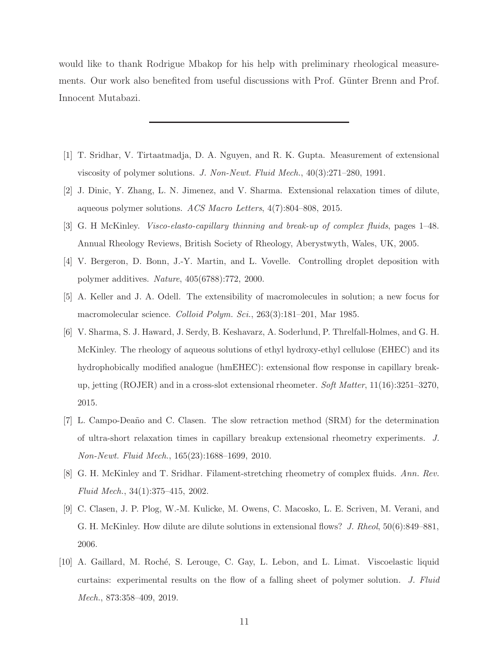would like to thank Rodrigue Mbakop for his help with preliminary rheological measurements. Our work also benefited from useful discussions with Prof. Günter Brenn and Prof. Innocent Mutabazi.

- <span id="page-10-0"></span>[1] T. Sridhar, V. Tirtaatmadja, D. A. Nguyen, and R. K. Gupta. Measurement of extensional viscosity of polymer solutions. J. Non-Newt. Fluid Mech., 40(3):271–280, 1991.
- <span id="page-10-3"></span>[2] J. Dinic, Y. Zhang, L. N. Jimenez, and V. Sharma. Extensional relaxation times of dilute, aqueous polymer solutions. ACS Macro Letters, 4(7):804–808, 2015.
- [3] G. H McKinley. Visco-elasto-capillary thinning and break-up of complex fluids, pages 1–48. Annual Rheology Reviews, British Society of Rheology, Aberystwyth, Wales, UK, 2005.
- [4] V. Bergeron, D. Bonn, J.-Y. Martin, and L. Vovelle. Controlling droplet deposition with polymer additives. Nature, 405(6788):772, 2000.
- [5] A. Keller and J. A. Odell. The extensibility of macromolecules in solution; a new focus for macromolecular science. Colloid Polym. Sci., 263(3):181–201, Mar 1985.
- [6] V. Sharma, S. J. Haward, J. Serdy, B. Keshavarz, A. Soderlund, P. Threlfall-Holmes, and G. H. McKinley. The rheology of aqueous solutions of ethyl hydroxy-ethyl cellulose (EHEC) and its hydrophobically modified analogue (hmEHEC): extensional flow response in capillary breakup, jetting (ROJER) and in a cross-slot extensional rheometer. Soft Matter,  $11(16):3251-3270$ , 2015.
- <span id="page-10-2"></span>[7] L. Campo-Deaño and C. Clasen. The slow retraction method (SRM) for the determination of ultra-short relaxation times in capillary breakup extensional rheometry experiments. J. Non-Newt. Fluid Mech., 165(23):1688–1699, 2010.
- [8] G. H. McKinley and T. Sridhar. Filament-stretching rheometry of complex fluids. Ann. Rev. Fluid Mech., 34(1):375–415, 2002.
- [9] C. Clasen, J. P. Plog, W.-M. Kulicke, M. Owens, C. Macosko, L. E. Scriven, M. Verani, and G. H. McKinley. How dilute are dilute solutions in extensional flows? J. Rheol, 50(6):849–881, 2006.
- <span id="page-10-1"></span>[10] A. Gaillard, M. Roché, S. Lerouge, C. Gay, L. Lebon, and L. Limat. Viscoelastic liquid curtains: experimental results on the flow of a falling sheet of polymer solution. J. Fluid Mech., 873:358–409, 2019.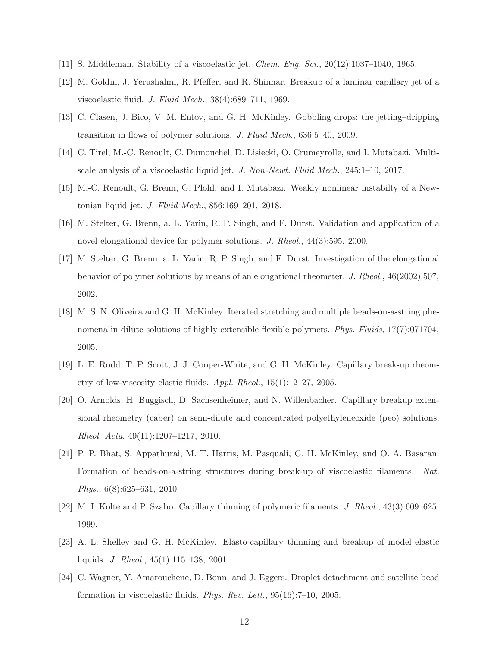- <span id="page-11-1"></span><span id="page-11-0"></span>[11] S. Middleman. Stability of a viscoelastic jet. Chem. Eng. Sci., 20(12):1037–1040, 1965.
- [12] M. Goldin, J. Yerushalmi, R. Pfeffer, and R. Shinnar. Breakup of a laminar capillary jet of a viscoelastic fluid. J. Fluid Mech., 38(4):689–711, 1969.
- <span id="page-11-2"></span>[13] C. Clasen, J. Bico, V. M. Entov, and G. H. McKinley. Gobbling drops: the jetting–dripping transition in flows of polymer solutions. J. Fluid Mech., 636:5–40, 2009.
- [14] C. Tirel, M.-C. Renoult, C. Dumouchel, D. Lisiecki, O. Crumeyrolle, and I. Mutabazi. Multiscale analysis of a viscoelastic liquid jet. J. Non-Newt. Fluid Mech., 245:1–10, 2017.
- <span id="page-11-3"></span>[15] M.-C. Renoult, G. Brenn, G. Plohl, and I. Mutabazi. Weakly nonlinear instabilty of a Newtonian liquid jet. J. Fluid Mech., 856:169–201, 2018.
- <span id="page-11-4"></span>[16] M. Stelter, G. Brenn, a. L. Yarin, R. P. Singh, and F. Durst. Validation and application of a novel elongational device for polymer solutions. J. Rheol., 44(3):595, 2000.
- <span id="page-11-9"></span>[17] M. Stelter, G. Brenn, a. L. Yarin, R. P. Singh, and F. Durst. Investigation of the elongational behavior of polymer solutions by means of an elongational rheometer. J. Rheol., 46(2002):507, 2002.
- <span id="page-11-8"></span>[18] M. S. N. Oliveira and G. H. McKinley. Iterated stretching and multiple beads-on-a-string phenomena in dilute solutions of highly extensible flexible polymers. *Phys. Fluids*, 17(7):071704, 2005.
- [19] L. E. Rodd, T. P. Scott, J. J. Cooper-White, and G. H. McKinley. Capillary break-up rheometry of low-viscosity elastic fluids. Appl. Rheol., 15(1):12–27, 2005.
- [20] O. Arnolds, H. Buggisch, D. Sachsenheimer, and N. Willenbacher. Capillary breakup extensional rheometry (caber) on semi-dilute and concentrated polyethyleneoxide (peo) solutions. Rheol. Acta, 49(11):1207–1217, 2010.
- <span id="page-11-5"></span>[21] P. P. Bhat, S. Appathurai, M. T. Harris, M. Pasquali, G. H. McKinley, and O. A. Basaran. Formation of beads-on-a-string structures during break-up of viscoelastic filaments. Nat. Phys., 6(8):625–631, 2010.
- <span id="page-11-6"></span>[22] M. I. Kolte and P. Szabo. Capillary thinning of polymeric filaments. J. Rheol., 43(3):609–625, 1999.
- <span id="page-11-7"></span>[23] A. L. Shelley and G. H. McKinley. Elasto-capillary thinning and breakup of model elastic liquids. J. Rheol., 45(1):115–138, 2001.
- [24] C. Wagner, Y. Amarouchene, D. Bonn, and J. Eggers. Droplet detachment and satellite bead formation in viscoelastic fluids. Phys. Rev. Lett., 95(16):7–10, 2005.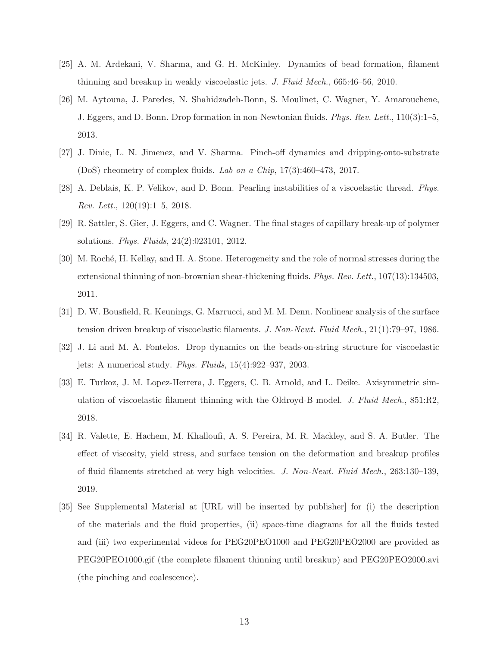- <span id="page-12-5"></span>[25] A. M. Ardekani, V. Sharma, and G. H. McKinley. Dynamics of bead formation, filament thinning and breakup in weakly viscoelastic jets. J. Fluid Mech., 665:46–56, 2010.
- [26] M. Aytouna, J. Paredes, N. Shahidzadeh-Bonn, S. Moulinet, C. Wagner, Y. Amarouchene, J. Eggers, and D. Bonn. Drop formation in non-Newtonian fluids. Phys. Rev. Lett., 110(3):1–5, 2013.
- [27] J. Dinic, L. N. Jimenez, and V. Sharma. Pinch-off dynamics and dripping-onto-substrate (DoS) rheometry of complex fluids. Lab on a Chip, 17(3):460–473, 2017.
- <span id="page-12-0"></span>[28] A. Deblais, K. P. Velikov, and D. Bonn. Pearling instabilities of a viscoelastic thread. Phys. Rev. Lett., 120(19):1–5, 2018.
- <span id="page-12-1"></span>[29] R. Sattler, S. Gier, J. Eggers, and C. Wagner. The final stages of capillary break-up of polymer solutions. Phys. Fluids, 24(2):023101, 2012.
- <span id="page-12-2"></span>[30] M. Roché, H. Kellay, and H. A. Stone. Heterogeneity and the role of normal stresses during the extensional thinning of non-brownian shear-thickening fluids. Phys. Rev. Lett., 107(13):134503, 2011.
- <span id="page-12-3"></span>[31] D. W. Bousfield, R. Keunings, G. Marrucci, and M. M. Denn. Nonlinear analysis of the surface tension driven breakup of viscoelastic filaments. J. Non-Newt. Fluid Mech., 21(1):79–97, 1986.
- <span id="page-12-4"></span>[32] J. Li and M. A. Fontelos. Drop dynamics on the beads-on-string structure for viscoelastic jets: A numerical study. Phys. Fluids, 15(4):922–937, 2003.
- <span id="page-12-6"></span>[33] E. Turkoz, J. M. Lopez-Herrera, J. Eggers, C. B. Arnold, and L. Deike. Axisymmetric simulation of viscoelastic filament thinning with the Oldroyd-B model. J. Fluid Mech., 851:R2, 2018.
- <span id="page-12-7"></span>[34] R. Valette, E. Hachem, M. Khalloufi, A. S. Pereira, M. R. Mackley, and S. A. Butler. The effect of viscosity, yield stress, and surface tension on the deformation and breakup profiles of fluid filaments stretched at very high velocities. J. Non-Newt. Fluid Mech., 263:130–139, 2019.
- <span id="page-12-8"></span>[35] See Supplemental Material at [URL will be inserted by publisher] for (i) the description of the materials and the fluid properties, (ii) space-time diagrams for all the fluids tested and (iii) two experimental videos for PEG20PEO1000 and PEG20PEO2000 are provided as PEG20PEO1000.gif (the complete filament thinning until breakup) and PEG20PEO2000.avi (the pinching and coalescence).